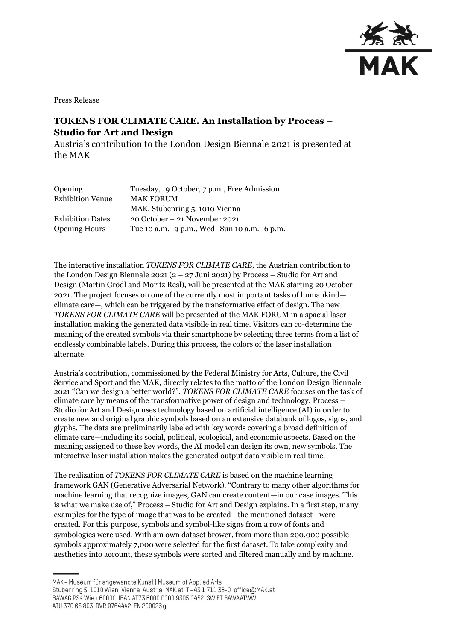

Press Release

## **TOKENS FOR CLIMATE CARE. An Installation by Process – Studio for Art and Design**

Austria's contribution to the London Design Biennale 2021 is presented at the MAK

| Opening                 | Tuesday, 19 October, 7 p.m., Free Admission  |
|-------------------------|----------------------------------------------|
| <b>Exhibition Venue</b> | <b>MAK FORUM</b>                             |
|                         | MAK, Stubenring 5, 1010 Vienna               |
| <b>Exhibition Dates</b> | $20$ October – 21 November 2021              |
| <b>Opening Hours</b>    | Tue 10 a.m. -9 p.m., Wed-Sun 10 a.m. -6 p.m. |

The interactive installation *TOKENS FOR CLIMATE CARE*, the Austrian contribution to the London Design Biennale 2021 (2 – 27 Juni 2021) by Process – Studio for Art and Design (Martin Grödl and Moritz Resl), will be presented at the MAK starting 20 October 2021. The project focuses on one of the currently most important tasks of humankind climate care—, which can be triggered by the transformative effect of design. The new *TOKENS FOR CLIMATE CARE* will be presented at the MAK FORUM in a spacial laser installation making the generated data visibile in real time. Visitors can co-determine the meaning of the created symbols via their smartphone by selecting three terms from a list of endlessly combinable labels. During this process, the colors of the laser installation alternate.

Austria's contribution, commissioned by the Federal Ministry for Arts, Culture, the Civil Service and Sport and the MAK, directly relates to the motto of the London Design Biennale 2021 "Can we design a better world?". *TOKENS FOR CLIMATE CARE* focuses on the task of climate care by means of the transformative power of design and technology. Process – Studio for Art and Design uses technology based on artificial intelligence (AI) in order to create new and original graphic symbols based on an extensive databank of logos, signs, and glyphs. The data are preliminarily labeled with key words covering a broad definition of climate care—including its social, political, ecological, and economic aspects. Based on the meaning assigned to these key words, the AI model can design its own, new symbols. The interactive laser installation makes the generated output data visible in real time.

The realization of *TOKENS FOR CLIMATE CARE* is based on the machine learning framework GAN (Generative Adversarial Network). "Contrary to many other algorithms for machine learning that recognize images, GAN can create content—in our case images. This is what we make use of," Process – Studio for Art and Design explains. In a first step, many examples for the type of image that was to be created—the mentioned dataset—were created. For this purpose, symbols and symbol-like signs from a row of fonts and symbologies were used. With am own dataset brower, from more than 200,000 possible symbols approximately 7,000 were selected for the first dataset. To take complexity and aesthetics into account, these symbols were sorted and filtered manually and by machine.

ATU 370 65 803 DVR 0764442 FN 200026 g

MAK - Museum für angewandte Kunst | Museum of Applied Arts

Stubenring 5 1010 Wien | Vienna Austria MAK.at T+43 1 711 36-0 office@MAK.at

BAWAG PSK Wien 60000 IBAN AT73 6000 0000 9305 0452 SWIFT BAWAATWW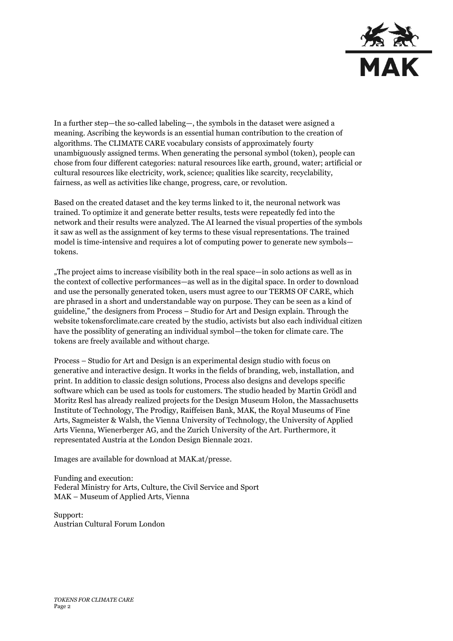

In a further step—the so-called labeling—, the symbols in the dataset were asigned a meaning. Ascribing the keywords is an essential human contribution to the creation of algorithms. The CLIMATE CARE vocabulary consists of approximately fourty unambiguously assigned terms. When generating the personal symbol (token), people can chose from four different categories: natural resources like earth, ground, water; artificial or cultural resources like electricity, work, science; qualities like scarcity, recyclability, fairness, as well as activities like change, progress, care, or revolution.

Based on the created dataset and the key terms linked to it, the neuronal network was trained. To optimize it and generate better results, tests were repeatedly fed into the network and their results were analyzed. The AI learned the visual properties of the symbols it saw as well as the assignment of key terms to these visual representations. The trained model is time-intensive and requires a lot of computing power to generate new symbols tokens.

"The project aims to increase visibility both in the real space—in solo actions as well as in the context of collective performances—as well as in the digital space. In order to download and use the personally generated token, users must agree to our TERMS OF CARE, which are phrased in a short and understandable way on purpose. They can be seen as a kind of guideline," the designers from Process – Studio for Art and Design explain. Through the websit[e tokensforclimate.care](https://tokensforclimate.care/) created by the studio, activists but also each individual citizen have the possiblity of generating an individual symbol—the token for climate care. The tokens are freely available and without charge.

Process – Studio for Art and Design is an experimental design studio with focus on generative and interactive design. It works in the fields of branding, web, installation, and print. In addition to classic design solutions, Process also designs and develops specific software which can be used as tools for customers. The studio headed by Martin Grödl and Moritz Resl has already realized projects for the Design Museum Holon, the Massachusetts Institute of Technology, The Prodigy, Raiffeisen Bank, MAK, the Royal Museums of Fine Arts, Sagmeister & Walsh, the Vienna University of Technology, the University of Applied Arts Vienna, Wienerberger AG, and the Zurich University of the Art. Furthermore, it representated Austria at the London Design Biennale 2021.

Images are available for download at MAK.at/presse.

Funding and execution: Federal Ministry for Arts, Culture, the Civil Service and Sport MAK – Museum of Applied Arts, Vienna

Support: Austrian Cultural Forum London